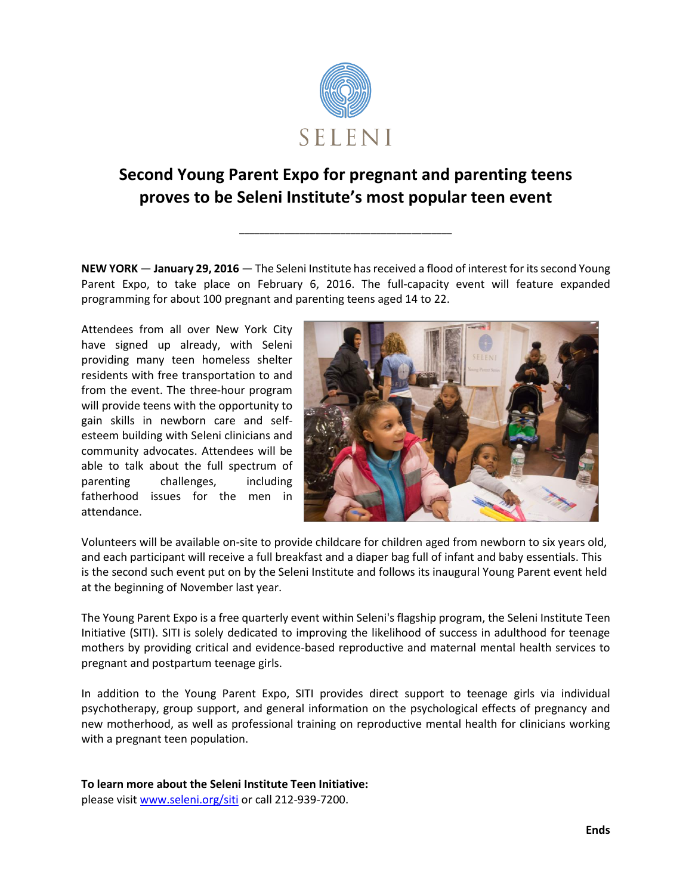

## **Second Young Parent Expo for pregnant and parenting teens proves to be Seleni Institute's most popular teen event**

**\_\_\_\_\_\_\_\_\_\_\_\_\_\_\_\_\_\_\_\_\_\_\_\_\_\_\_\_\_\_\_\_\_\_\_\_\_\_\_\_\_\_**

**NEW YORK** — **January 29, 2016** — The Seleni Institute hasreceived a flood of interest for its second Young Parent Expo, to take place on February 6, 2016. The full-capacity event will feature expanded programming for about 100 pregnant and parenting teens aged 14 to 22.

Attendees from all over New York City have signed up already, with Seleni providing many teen homeless shelter residents with free transportation to and from the event. The three-hour program will provide teens with the opportunity to gain skills in newborn care and selfesteem building with Seleni clinicians and community advocates. Attendees will be able to talk about the full spectrum of parenting challenges, including fatherhood issues for the men in attendance.



Volunteers will be available on-site to provide childcare for children aged from newborn to six years old, and each participant will receive a full breakfast and a diaper bag full of infant and baby essentials. This is the second such event put on by the Seleni Institute and follows its inaugural Young Parent event held at the beginning of November last year.

The Young Parent Expo is a free quarterly event within Seleni's flagship program, the Seleni Institute Teen Initiative (SITI). SITI is solely dedicated to improving the likelihood of success in adulthood for teenage mothers by providing critical and evidence-based reproductive and maternal mental health services to pregnant and postpartum teenage girls.

In addition to the Young Parent Expo, SITI provides direct support to teenage girls via individual psychotherapy, group support, and general information on the psychological effects of pregnancy and new motherhood, as well as professional training on reproductive mental health for clinicians working with a pregnant teen population.

**To learn more about the Seleni Institute Teen Initiative:** please visit [www.seleni.org/siti](http://www.seleni.org/siti) or call 212-939-7200.